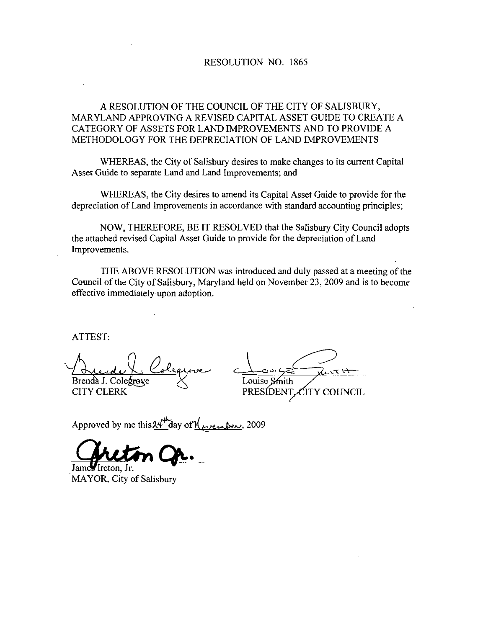### RESOLUTION NO. 1865

### A RESOLUTION OF THE COUNCIL OF THE CITY OF SALISBURY MARYLAND APPROVING A REVISED CAPITAL ASSET GUIDE TO CREATE A CATEGORY OF ASSETS FOR LAND IMPROVEMENTS AND TO PROVIDE A METHODOLOGY FOR THE DEPRECIATION OF LAND IMPROVEMENTS

WHEREAS, the City of Salisbury desires to make changes to its current Capital Asset Guide to separate Land and Land Improvements; and

WHEREAS, the City desires to amend its Capital Asset Guide to provide for the depreciation of Land Improvements in accordance with standard accounting principles

NOW, THEREFORE, BE IT RESOLVED that the Salisbury City Council adopts the attached revised Capital Asset Guide to provide for the depreciation of Land Improvements

THE ABOVE RESOLUTION was introduced and duly passed at a meeting of the Council of the City of Salisbury, Maryland held on November 23, 2009 and is to become effective immediately upon adoption

ATTEST

Brends Colequise Louise Smith<br>Brenda J. Colegrove Louise Smith<br>CITY CLERK PRESIDENT

 $X + Y = \n\begin{array}{c}\n\hline\n\text{Low } S = \n\end{array}$ CITY CLERK PRESIDENT COUNCIL

Approved by me this  $24^{\mu}$  day of  $\chi_{\mu\nu}$  embers, 2009

James Ireton. Jr. MAYOR, City of Salisbury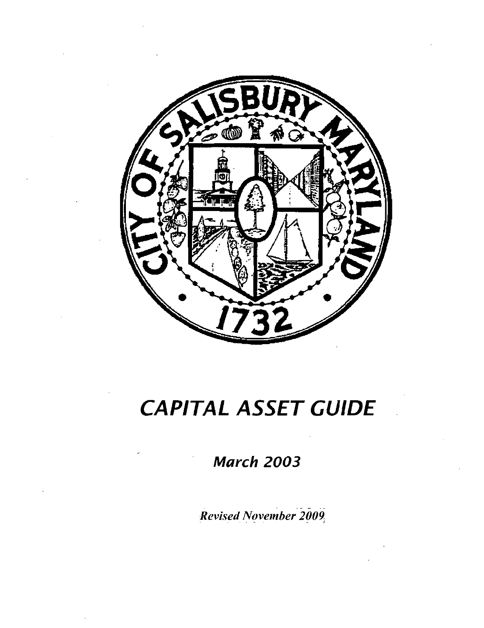

# CAPITAL ASSET GUIDE

March 2003

Revised November 2009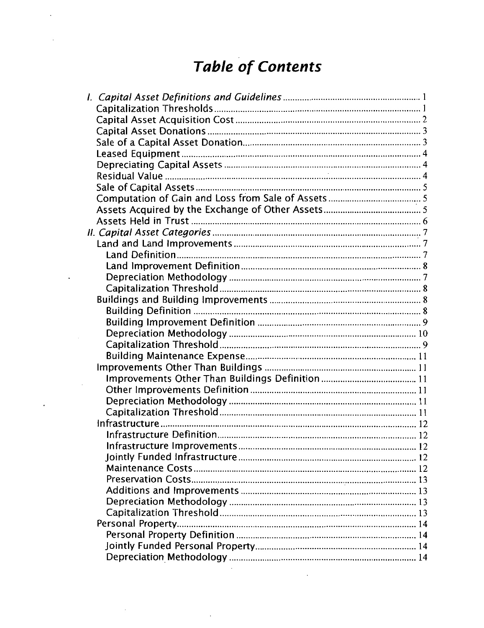# Table of Contents

 $\ddot{\phantom{a}}$ 

 $\ddot{\phantom{0}}$ 

| <b>Table of Contents</b> |  |
|--------------------------|--|
|                          |  |
|                          |  |
|                          |  |
|                          |  |
|                          |  |
|                          |  |
|                          |  |
|                          |  |
|                          |  |
|                          |  |
|                          |  |
|                          |  |
|                          |  |
|                          |  |
|                          |  |
|                          |  |
|                          |  |
|                          |  |
|                          |  |
|                          |  |
|                          |  |
|                          |  |
|                          |  |
|                          |  |
|                          |  |
|                          |  |
|                          |  |
|                          |  |
|                          |  |
|                          |  |
|                          |  |
|                          |  |
|                          |  |
|                          |  |
|                          |  |
|                          |  |
|                          |  |
|                          |  |
|                          |  |
|                          |  |
|                          |  |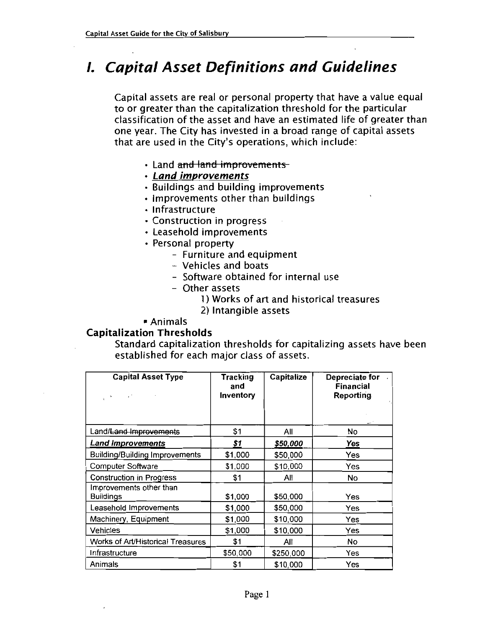# **1. Capital Asset Definitions and Guidelines**

Capital assets are real or personal property that have <sup>a</sup> value equal to or greater than the capitalization threshold for the particular classification of the asset and have an estimated life of greater than one year The City has invested in a broad range of capital assets that are used in the City's operations, which include:

- Land and land improvements
- Land improvements
- Buildings and building improvements
- $\cdot$  Improvements other than buildings
- Infrastructure
- Construction in progress
- Leasehold improvements
- Personal property
- Furniture and equipment roperty<br>niture and eq<br>icles and boa<br>ware obtaine<br>er assets<br>1) Works of a<br>2) Intangible<br>ds
	- Vehicles and boats
	- Software obtained for internal use
	- Other assets
		- 1 Works of art and historical treasures
		- 2) Intangible assets

### Animals

### Capitalization Thresholds

Standard capitalization thresholds for capitalizing assets have been established for each major class of assets

| <b>Capital Asset Type</b><br>$\sim$         | Tracking<br>and<br>Inventory | <b>Capitalize</b> | Depreciate for<br><b>Financial</b><br><b>Reporting</b> |
|---------------------------------------------|------------------------------|-------------------|--------------------------------------------------------|
| Land/Land Improvements                      | \$1                          | All               | No                                                     |
| <b>Land Improvements</b>                    | \$1                          | \$50,000          | Yes                                                    |
| <b>Building/Building Improvements</b>       | \$1,000                      | \$50,000          | Yes                                                    |
| Computer Software                           | \$1,000                      | \$10,000          | Yes                                                    |
| <b>Construction in Progress</b>             | \$1                          | All               | No                                                     |
| Improvements other than<br><b>Buildings</b> | \$1,000                      | \$50,000          | Yes                                                    |
| Leasehold Improvements                      | \$1,000                      | \$50,000          | Yes                                                    |
| Machinery, Equipment                        | \$1,000                      | \$10,000          | Yes                                                    |
| Vehicles                                    | \$1,000                      | \$10,000          | <b>Yes</b>                                             |
| Works of Art/Historical Treasures           | \$1                          | All               | No                                                     |
| Infrastructure                              | \$50,000                     | \$250,000         | Yes                                                    |
| Animals                                     | \$1                          | \$10,000          | Yes                                                    |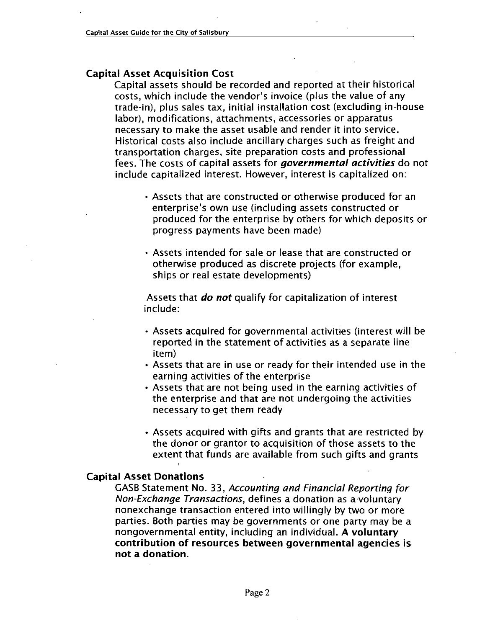### Capital Asset Acquisition Cost

Capital assets should be recorded and reported at their historical al Asset Acquisition Cost<br>al Asset Acquisition Cost<br>Capital assets should be recorded and reported at their historical<br>costs, which include the vendor's invoice (plus the value of any<br>trade-in), plus sales tax, initial ins labor), modifications, attachments, accessories or apparatus necessary to make the asset usable and render it into service Historical costs also include ancillary charges such as freight and transportation charges, site preparation costs and professional fees. The costs of capital assets for *governmental activities* do not include capitalized interest. However, interest is capitalized on: ry to make the asset usable and render it into service.<br>al costs also include ancillary charges such as freight<br>tation charges, site preparation costs and professional<br>e costs of capital assets for **governmental activities** 

- Assets that are constructed or otherwise produced for an<br>enterprise's own use (including assets constructed or produced for the enterprise by others for which deposits or progress payments have been made
- Assets intended for sale or lease that are constructed or otherwise produced as discrete projects for example ships or real estate developments

Assets that *do not* qualify for capitalization of interest include

- $\cdot$  Assets acquired for governmental activities (interest will be reported in the statement of activities as a separate line item
- Assets that are in use or ready for their intended use in the earning activities of the enterprise
- Assets that are not being used in the earning activities of the enterprise and that are not undergoing the activities necessary to get them ready
- Assets acquired with gifts and grants that are restricted by the donor or grantor to acquisition of those assets to the extent that funds are available from such gifts and grants

### Capital Asset Donations

**SASB Statement No. 33, Accounting and Financial Reporting for<br>Non-Exchange Transactions, defines a donation as a voluntary<br>nonexchange transaction entered into willingly by two or more** nonexchange transaction entered into willingly by two or more parties. Both parties may be governments or one party may be a nongovernmental entity, including an individual. A voluntary contribution of resources between governmental agencies is not a donation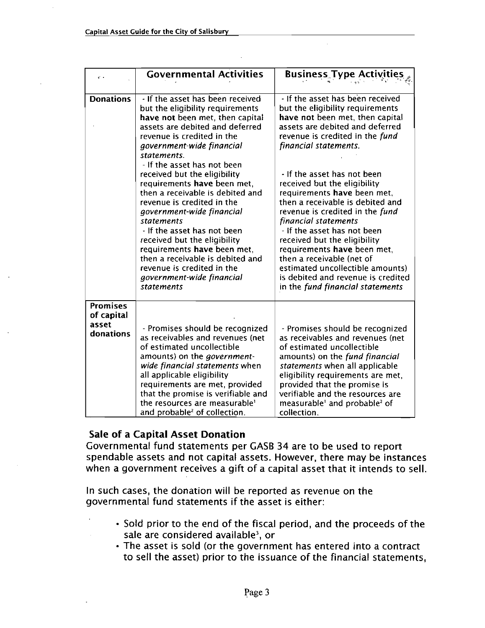| $\mathcal{C} \rightarrow$                           | <b>Governmental Activities</b>                                                                                                                                                                                                                                                                                                                                                                                            | <b>Business Type Activities</b>                                                                                                                                                                                                                                                                                                                                                                                                    |
|-----------------------------------------------------|---------------------------------------------------------------------------------------------------------------------------------------------------------------------------------------------------------------------------------------------------------------------------------------------------------------------------------------------------------------------------------------------------------------------------|------------------------------------------------------------------------------------------------------------------------------------------------------------------------------------------------------------------------------------------------------------------------------------------------------------------------------------------------------------------------------------------------------------------------------------|
| <b>Donations</b>                                    | - If the asset has been received<br>but the eligibility requirements<br>have not been met, then capital<br>assets are debited and deferred<br>revenue is credited in the<br>government-wide financial<br>statements.                                                                                                                                                                                                      | - If the asset has been received<br>but the eligibility requirements<br>have not been met, then capital<br>assets are debited and deferred<br>revenue is credited in the fund<br>financial statements.                                                                                                                                                                                                                             |
|                                                     | - If the asset has not been<br>received but the eligibility<br>requirements have been met.<br>then a receivable is debited and<br>revenue is credited in the<br>government-wide financial<br>statements<br>- If the asset has not been<br>received but the eligibility<br>requirements have been met.<br>then a receivable is debited and<br>revenue is credited in the<br>government-wide financial<br><i>statements</i> | - If the asset has not been<br>received but the eligibility<br>requirements have been met,<br>then a receivable is debited and<br>revenue is credited in the fund<br>financial statements<br>- If the asset has not been<br>received but the eligibility<br>requirements have been met,<br>then a receivable (net of<br>estimated uncollectible amounts)<br>is debited and revenue is credited<br>in the fund financial statements |
| <b>Promises</b><br>of capital<br>asset<br>donations | - Promises should be recognized<br>as receivables and revenues (net<br>of estimated uncollectible<br>amounts) on the <i>government</i> -<br>wide financial statements when<br>all applicable eligibility<br>requirements are met, provided<br>that the promise is verifiable and<br>the resources are measurable <sup>1</sup><br>and probable <sup>2</sup> of collection.                                                 | - Promises should be recognized<br>as receivables and revenues (net<br>of estimated uncollectible<br>amounts) on the fund financial<br>statements when all applicable<br>eligibility requirements are met,<br>provided that the promise is<br>verifiable and the resources are<br>measurable' and probable <sup>2</sup> of<br>collection.                                                                                          |

### Sale of <sup>a</sup> Capital Asset Donation

Governmental fund statements per GASB 34 are to be used to report spendable assets and not capital assets. However, there may be instances when <sup>a</sup> government receives <sup>a</sup> gift of <sup>a</sup> capital asset that it intends to sell

In such cases, the donation will be reported as revenue on the governmental fund statements if the asset is either

- Sold prior to the end of the fiscal period, and the proceeds of the sale are considered available<sup>3</sup>, or
- The asset is sold (or the government has entered into a contract to sell the asset) prior to the issuance of the financial statements,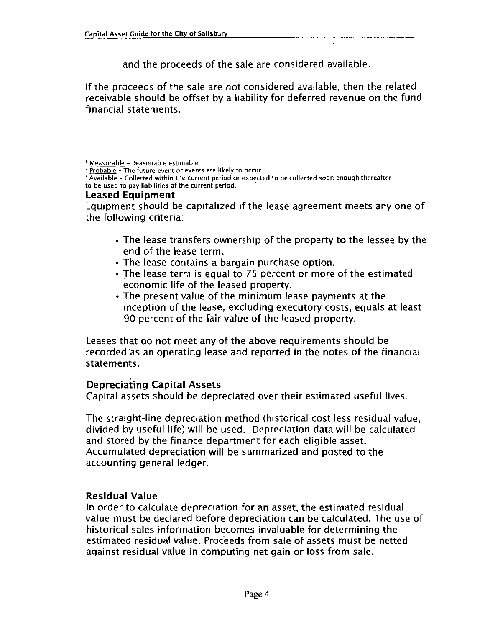and the proceeds of the sale are considered available

If the proceeds of the sale are not considered available, then the related receivable should be offset by a liability for deferred revenue on the fund financial statements

<del>' Measurable - Reasonable e</del>stimable.

 $\frac{p}{p}$  Probable - The future event or events are likely to occur.

Available - Collected within the current period or expected to be collected soon enough thereafter to be used to pay liabilities of the current period

### Leased Equipment

Equipment should be capitalized if the lease agreement meets any one of the following criteria

- The lease transfers ownership of the property to the lessee by the end of the lease term
- The lease contains a bargain purchase option.
- The lease term is equal to 75 percent or more of the estimated economic life of the leased property
- The present value of the minimum lease payments at the inception of the lease, excluding executory costs, equals at least 90 percent of the fair value of the leased property

Leases that do not meet any of the above requirements should be recorded as an operating lease and reported in the notes of the financial statements

### Depreciating Capital Assets

Capital assets should be depreciated over their estimated useful lives

The straight-line depreciation method (historical cost less residual value, divided by useful life) will be used. Depreciation data will be calculated and stored by the finance department for each eligible asset Accumulated depreciation will be summarized and posted to the accounting general ledger

### Residual Value

In order to calculate depreciation for an asset, the estimated residual value must be declared before depreciation can be calculated. The use of historical sales information becomes invaluable for determining the estimated residual value. Proceeds from sale of assets must be netted against residual value in computing net gain or loss from sale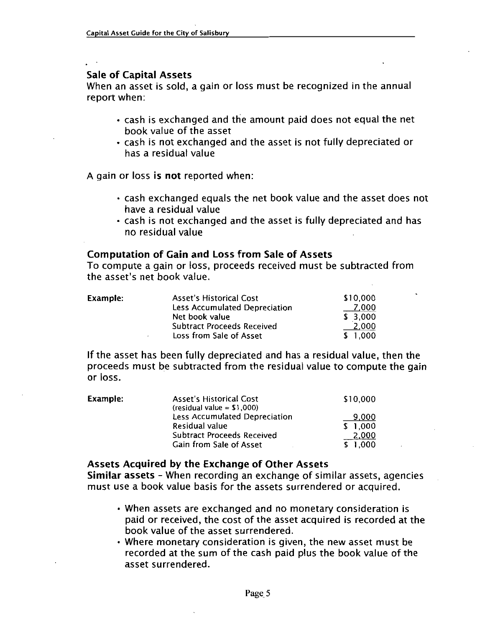### Sale of Capital Assets

When an asset is sold, a gain or loss must be recognized in the annual report when

- cash is exchanged and the amount paid does not equal the net book value of the asset
- cash is not exchanged and the asset is not fully depreciated or has a residual value

A gain or loss is not reported when:

- cash exchanged equals the net book value and the asset does not have a residual value
- cash is not exchanged and the asset is fully depreciated and has no residual value

### Computation of Gain and Loss from Sale of Assets

To compute a gain or loss, proceeds received must be subtracted fron The residual value<br>Computation of Gain and<br>To compute a gain or loss<br>the asset's net book value

| the asset's net book value. | Computation of Gain and Loss from Sale of Assets<br>To compute a gain or loss, proceeds received must be subtracte |          |
|-----------------------------|--------------------------------------------------------------------------------------------------------------------|----------|
| Example:                    | <b>Asset's Historical Cost</b>                                                                                     | \$10,000 |
|                             | <b>Less Accumulated Depreciation</b>                                                                               | 7.000    |
|                             | Net book value                                                                                                     | \$3,000  |
|                             | <b>Subtract Proceeds Received</b>                                                                                  | 2,000    |
|                             | Loss from Sale of Asset                                                                                            | \$1,000  |

If the asset has been fully depreciated and has a residual value, then the IT the asset has been fully depreciated and has a residual value, then the<br>proceeds must be subtracted from the residual value to compute the gain<br>or loss.<br>Example: Asset's Historical Cost \$10,000<br>(residual value = \$1,000

| Example: | Asset's Historical Cost<br>(residual value = $$1,000$ )      | \$10,000         |
|----------|--------------------------------------------------------------|------------------|
|          | Less Accumulated Depreciation<br>Residual value              | 9,000<br>\$1,000 |
|          | <b>Subtract Proceeds Received</b><br>Gain from Sale of Asset | 2,000<br>\$1.000 |

### Assets Acquired by the Exchange of Other Assets

Similar assets - When recording an exchange of similar assets, agencies must use a book value basis for the assets surrendered or acquired.

- When assets are exchanged and no monetary consideration is paid or received, the cost of the asset acquired is recorded at the book value of the asset surrendered
- Where monetary consideration is given, the new asset must be recorded at the sum of the cash paid plus the book value of the asset surrendered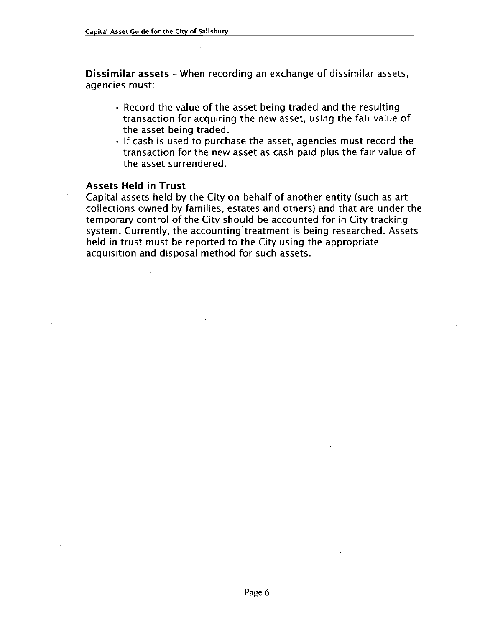**Dissimilar assets** – When recording an exchange of dissimilar assets, agencies must

- $\cdot$  Record the value of the asset being traded and the resulting transaction for acquiring the new asset, using the fair value of the asset being traded
- If cash is used to purchase the asset, agencies must record the transaction for the new asset as cash paid plus the fair value of the asset surrendered

### Assets Held in Trust

Capital assets held by the City on behalf of another entity (such as art collections owned by families, estates and others) and that are under the temporary control of the City should be accounted for in City tracking system. Currently, the accounting treatment is being researched. Assets held in trust must be reported to the City using the appropriate acquisition and disposal method for such assets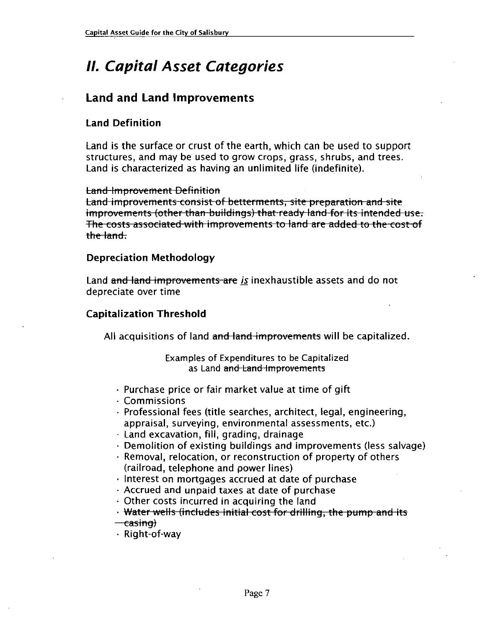# <sup>11</sup> Capital Asset Categories

### Land and Land Improvements

### Land Definition

Land is the surface or crust of the earth, which can be used to support structures, and may be used to grow crops, grass, shrubs, and trees. Land is characterized as having an unlimited life (indefinite).

Land is changed that<br>
tand improvement<br>
improvement<br>
the land.<br>
Depreciation

### Depreciation Methodology

Land and land improvements are is inexhaustible assets and do not depreciate over time

### Capitalization Threshold

All acquisitions of land and land improvements will be capitalized.

### Examples of Expenditures to be Capitalized as Land and Land Improvements

- $\cdot$  Purchase price or fair market value at time of gift
- Commissions
- $\cdot$  Professional fees (title searches, architect, legal, engineering, appraisal, surveying, environmental assessments, etc.)
- $\cdot$  Land excavation, fill, grading, drainage
- $\cdot$  Demolition of existing buildings and improvements (less salvage)
- $\cdot$  Removal, relocation, or reconstruction of property of others (railroad, telephone and power lines)
- $\cdot$  Interest on mortgages accrued at date of purchase
- Accrued and unpaid taxes at date of purchase
- 
- · Other costs incurred in acquiring the land<br>· <del>Water wells (includes initial cost for drilling, the pump and its</del>
- 
- <del>– casing)</del><br>• Right-of-wav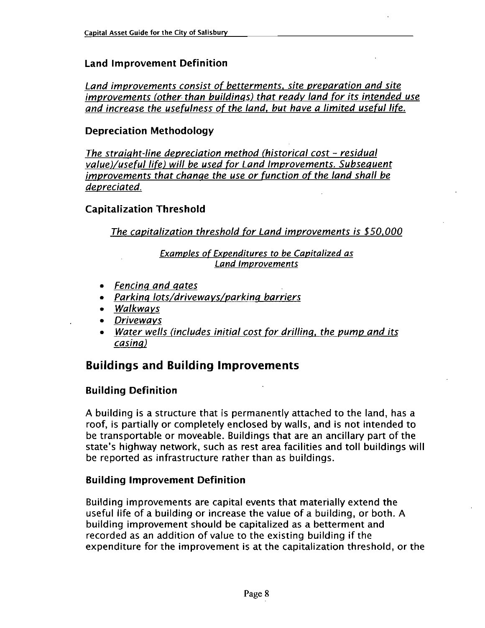### Land Improvement Definition

Land improvements consist of betterments, site preparation and site improvements (other than buildings) that ready land for its intended use and increase the usefulness of the land, but have a limited useful life.

### Depreciation Methodology

The straight-line depreciation method (historical cost  $-$  residual value)/useful life) will be used for Land Improvements. Subsequent improvements that change the use or function of the land shall be depreciated

### Capitalization Threshold

The capitalization threshold for Land improvements is  $$50,000$ 

Examples of Expenditures to be Capitalized as Land Improvements

- Fencing and gates
- Parking lots/driveways/parking barriers
- Walkways
- Driveways
- Water wells (includes initial cost for drilling, the pump and its casin

### Buildings and Building Improvements

### Building Definition

A building is a structure that is permanently attached to the land, has a roof, is partially or completely enclosed by walls, and is not intended to be transportable or moveable. Buildings that are an ancillary part of the state's highway network, such as rest area facilities and toll buildings will be reported as infrastructure rather than as buildings

### Building Improvement Definition

Building improvements are capital events that materially extend the useful life of a building or increase the value of a building, or both. A building improvement should be capitalized as a betterment and recorded as an addition of value to the existing building if the expenditure for the improvement is at the capitalization threshold, or the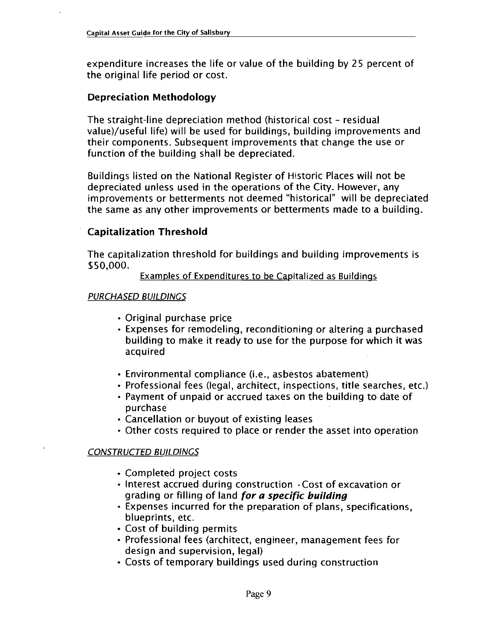expenditure increases the life or value of the building by 25 percent of the original life period or cost

### Depreciation Methodology

The straight-line depreciation method (historical cost  $-$  residual value)/useful life) will be used for buildings, building improvements and their components Subsequent improvements that change the use or function of the building shall be depreciated

Buildings listed on the National Register of Historic Places will not be depreciated unless used in the operations of the City. However, any improvements or betterments not deemed "historical" will be depreciated the same as any other improvements or betterments made to <sup>a</sup> building

### Capitalization Threshold

The capitalization threshold for buildings and building improvements is<br>\$50,000.

Examples of Expenditures to be Capitalized as Buildings

### PURCHASED BUILDINGS

- Original purchase price
- Expenses for remodeling, reconditioning or altering a purchased building to make it ready to use for the purpose for which it was acquired Original purchase price<br>Expenses for remodeling, reconditioning or altering<br>building to make it ready to use for the purpose for<br>acquired<br>Environmental compliance (i.e., asbestos abatement)<br>Professional fees (legal, archit
- 
- Professional fees (legal, architect, inspections, title searches, etc.)
- Payment of unpaid or accrued taxes on the building to date of purchase
- Cancellation or buyout of existing leases
- Other costs required to place or render the asset into operation

### CONSTRUCTED BUILDINGS

- Completed project costs
- $\cdot$  Interest accrued during construction  $\cdot$  Cost of excavation or grading or filling of land for a specific building
- $\cdot$  Expenses incurred for the preparation of plans, specifications, blueprints, etc.
- Cost of building permits
- Professional fees (architect, engineer, management fees for design and supervision, legal)
- Costs of temporary buildings used during construction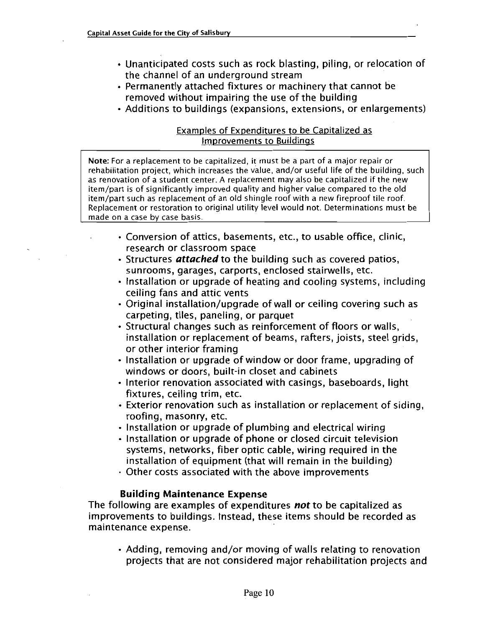- Unanticipated costs such as rock blasting, piling, or relocation of the channel of an underground stream
- Permanently attached fixtures or machinery that cannot be removed without impairing the use of the building
- Additions to buildings (expansions, extensions, or enlargements)

### Examples of Expenditures to be Capitalized as Improvements to Buildings

Note: For a replacement to be capitalized, it must be a part of a major repair or rehabilitation project, which increases the value, and/or useful life of the building, such as renovation of a student center. A replacement may also be capitalized if the new as renovation of a student center. A replacement may also be capitalized if the nev<br>item/part is of significantly improved quality and higher value compared to the old item/part is of significantly improved quality and higher value compared to the old<br>item/part such as replacement of an old shingle roof with a new fireproof tile roof item/part such as replacement of an old shingle roof with a new fireproof tile roof.<br>Replacement or restoration to original utility level would not. Determinations must be made on a case by case basis

- $\cdot$  Conversion of attics, basements, etc., to usable office, clinic, research or classroom space
- Structures *attached* to the building such as covered patios. sunrooms, garages, carports, enclosed stairwells, etc.
- $\cdot$  Installation or upgrade of heating and cooling systems, including ceiling fans and attic vents
- Original installation/upgrade of wall or ceiling covering such as carpeting, tiles, paneling, or parquet
- Structural changes such as reinforcement of floors or walls, installation or replacement of beams, rafters, joists, steel grids, or other interior framing
- $\cdot$  Installation or upgrade of window or door frame, upgrading of windows or doors, built-in closet and cabinets
- Interior renovation associated with casings, baseboards, light fixtures, ceiling trim, etc.
- Exterior renovation such as installation or replacement of siding roofing, masonry, etc.
- Installation or upgrade of plumbing and electrical wiring
- $\cdot$  Installation or upgrade of phone or closed circuit television systems, networks, fiber optic cable, wiring required in the installation of equipment (that will remain in the building)
- Other costs associated with the above improvements

### Building Maintenance Expense

The following are examples of expenditures not to be capitalized as improvements to buildings. Instead, these items should be recorded as maintenance expense

 $\cdot$  Adding, removing and/or moving of walls relating to renovation projects that are not considered major rehabilitation projects and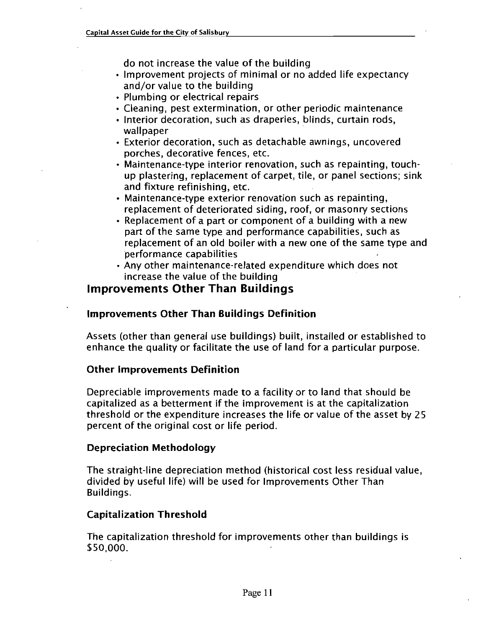do not increase the value of the building

- Improvement projects of minimal or no added life expectancy do not increase the value of<br>Improvement projects of mi<br>and/or value to the building<br>Plumbing or electrical repair
- Plumbing or electrical repairs
- Cleaning, pest extermination, or other periodic maintenance
- Interior decoration, such as draperies, blinds, curtain rods, wallpaper
- Exterior decoration, such as detachable awnings, uncovered porches, decorative fences, etc.
- $\cdot$  Maintenance-type interior renovation, such as repainting, touchup plastering, replacement of carpet, tile, or panel sections; sink<br>and fixture refinishing, etc.<br>Maintenance-type exterior renovation such as repainting,<br>replacement of deteriorated siding, roof, or masonry sections and fixture refinishing, etc.<br>• Maintenance-type exterior renovation such as repainting,
- replacement of deteriorated siding, roof, or masonry sections
- Replacement of <sup>a</sup> part or component of a building with <sup>a</sup> new part of the same type and performance capabilities, such as replacement of an old boiler with a new one of the same type and performance capabilities
- Any other maintenance-related expenditure which does not increase the value of the building

### Improvements Other Than Buildings

### Improvements Other Than Buildings Definition

Assets (other than general use buildings) built, installed or established to enhance the quality or facilitate the use of land for <sup>a</sup> particular purpose

### Other Improvements Definition

Depreciable improvements made to <sup>a</sup> facility or to land that should be capitalized as a betterment if the improvement is at the capitalization threshold or the expenditure increases the life or value of the asset by 25 percent of the original cost or life period

### Depreciation Methodology

The straight-line depreciation method (historical cost less residual value, divided by useful life) will be used for Improvements Other Than Buildings

### Capitalization Threshold

The capitalization threshold for improvements other than buildings is \$50,000.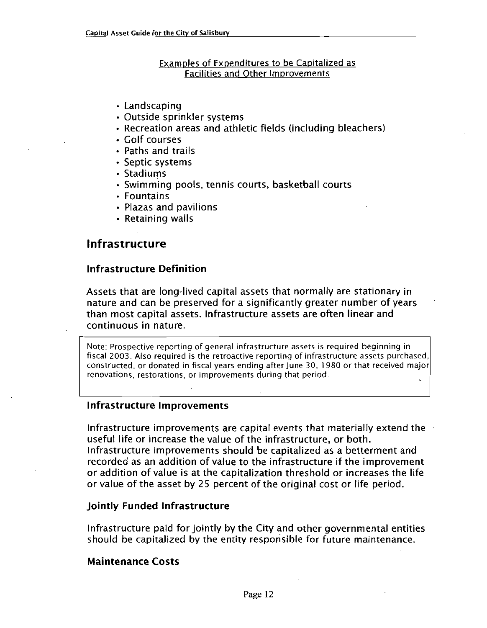### Examples of Expenditures to be Capitalized as Facilities and Other Improvements

- Landscaping
- Outside sprinkler systems
- Recreation areas and athletic fields (including bleachers)
- Golf courses
- Paths and trails
- Septic systems
- Stadiums
- $\cdot$  Swimming pools, tennis courts, basketball courts
- Fountains
- Plazas and pavilions
- Retaining walls

### Infrastructure

### Infrastructure Definition

Assets that are long-lived capital assets that normally are stationary in nature and can be preserved for a significantly greater number of years than most capital assets Infrastructure assets are often linear and continuous in nature

Note: Prospective reporting of general infrastructure assets is required beginning in fiscal 2003. Also required is the retroactive reporting of infrastructure assets purchased, constructed, or donated in fiscal years ending after June 30, 1980 or that received major renovations, restorations, or improvements during that period.

### Infrastructure Improvements

Infrastructure improvements are capital events that materially extend the useful life or increase the value of the infrastructure, or both. Infrastructure improvements should be capitalized as <sup>a</sup> betterment and or addition of value is at the capitalization threshold or increases the life or value of the asset by <sup>25</sup> percent of the original cost or life period

### Jointly Funded Infrastructure

Infrastructure paid for jointly by the City and other governmental entities should be capitalized by the entity responsible for future maintenance.

### Maintenance Costs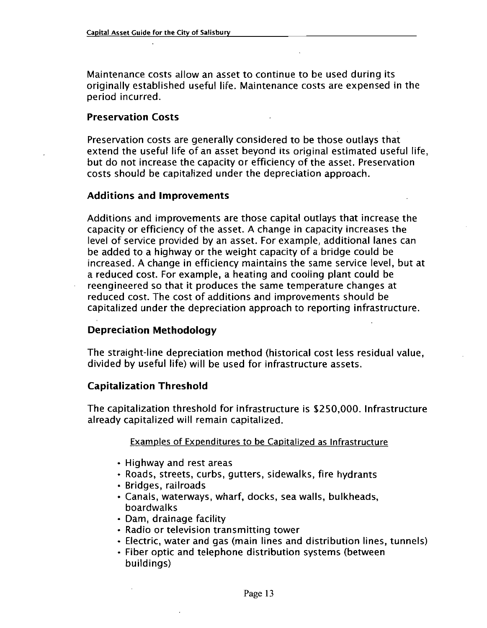Maintenance costs allow an asset to continue to be used during its originally established useful life. Maintenance costs are expensed in the period incurred

### Preservation Costs

Preservation costs are generally considered to be those outlays that extend the useful life of an asset beyond its original estimated useful life but do not increase the capacity or efficiency of the asset. Preservation costs should be capitalized under the depreciation approach

### Additions and Improvements

Additions and improvements are those capital outlays that increase the capacity or efficiency of the asset <sup>A</sup> change in capacity increases the level of service provided by an asset. For example, additional lanes can be added to <sup>a</sup> highway or the weight capacity of <sup>a</sup> bridge could be increased. A change in efficiency maintains the same service level, but at a reduced cost. For example, a heating and cooling plant could be reengineered so that it produces the same temperature changes at reduced cost The cost of additions and improvements should be capitalized under the depreciation approach to reporting infrastructure

### Depreciation Methodology

The straight-line depreciation method (historical cost less residual value, divided by useful life) will be used for infrastructure assets.

### Capitalization Threshold

The capitalization threshold for infrastructure is \$250,000. Infrastructure already capitalized will remain capitalized

### Examoles of Expenditures to be Capitalized as Infrastructure

- Highway and rest areas
- Roads, streets, curbs, gutters, sidewalks, fire hydrants
- Bridges, railroads
- · Canals, waterways, wharf, docks, sea walls, bulkheads, boardwalks
- Dam, drainage facility
- Radio or television transmitting tower
- Electric, water and gas (main lines and distribution lines, tunnels)
- Fiber optic and telephone distribution systems (between buildings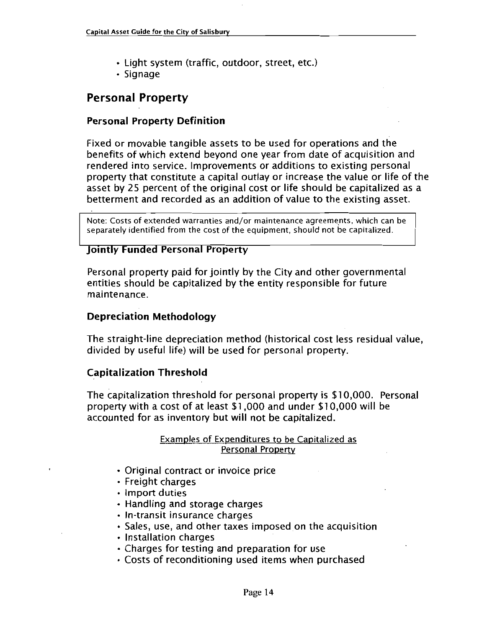- Light system (traffic, outdoor, street, etc.)
- Signage

### Personal Property

### Personal Property Definition

Fixed or movable tangible assets to be used for operations and the benefits ofwhich extend beyond one year from date of acquisition and rendered into service. Improvements or additions to existing personal property that constitute <sup>a</sup> capital outlay or increase the value or life of the asset by <sup>25</sup> percent of the original cost or life should be capitalized as <sup>a</sup> betterment and recorded as an addition of value to the existing asset

Note: Costs of extended warranties and/or maintenance agreements, which can be separately identified from the cost of the equipment, should not be capitalized.

### Jointly Funded Personal Property

Personal property paid for jointly by the City and other governmental entities should be capitalized by the entity responsible for future maintenance

### Depreciation Methodology

The straight-line depreciation method (historical cost less residual value, divided by useful life) will be used for personal property.

### Capitalization Threshold

Capitalization Threshold<br>The capitalization threshold for personal property is \$10,000. Personal<br>property with a cost of at least \$1,000 and under \$10,000 will be C<mark>apitalization Threshold</mark><br>The capitalization threshold for personal property is \$10,000. Pe<br>property with a cost of at least \$1,000 and under \$10,000 will be<br>accounted for as inventory but will not be capitalized. accounted for as inventory but will not be capitalized

### Examples of Expenditures to be Capitalized as Personal Property

- Original contract or invoice price
- Freight charges
- Import duties
- Handling and storage charges<br>• In-transit insurance charges
- 
- Freight charges<br>Import duties<br>Handling and storage charges<br>In-transit insurance charges<br>Sales, use, and other taxes imposed on the acquisition
- Installation charges
- Charges for testing and preparation for use
- Costs of reconditioning used items when purchased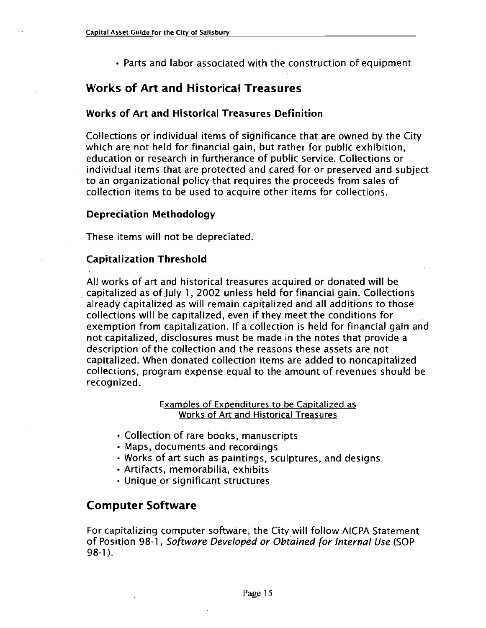Parts and labor associated with the construction of equipment

### Works of Art and Historical Treasures

### Works of Art and Historical Treasures Definition

Collections or individual items of significance that are owned by the City which are not held for financial gain, but rather for public exhibition, education or research in furtherance of public service. Collections or individual items that are protected and cared for or preserved and subject to an organizational policy that requires the proceeds from sales of collection items to be used to acquire other items for collections

### Depreciation Methodology

These items will not be depreciated

### Capitalization Threshold

All works of art and historical treasures acquired or donated will be capitalized as of July 1, 2002 unless held for financial gain. Collections already capitalized as will remain capitalized and all additions to those collections will be capitalized, even if they meet the conditions for exemption from capitalization. If a collection is held for financial gain and not capitalized, disclosures must be made in the notes that provide a description of the collection and the reasons these assets are not capitalized. When donated collection items are added to noncapitalized collections, program expense equal to the amount of revenues should be recognized

### Examples of Expenditures to be Capitalized as Works of Art and Historical Treasures

- Collection of rare books, manuscripts
- Maps, documents and recordings
- Works of art such as paintings, sculptures, and designs
- Artifacts, memorabilia, exhibits
- Unique or significant structures

### Computer Software

For capitalizing computer software, the City will follow AICPA Statement<br>of Position 98-1, *Software Developed or Obtained for Internal Use* (SOP of Position 98-1, Software Developed or Obtained for Internal Use (SOP 98-1).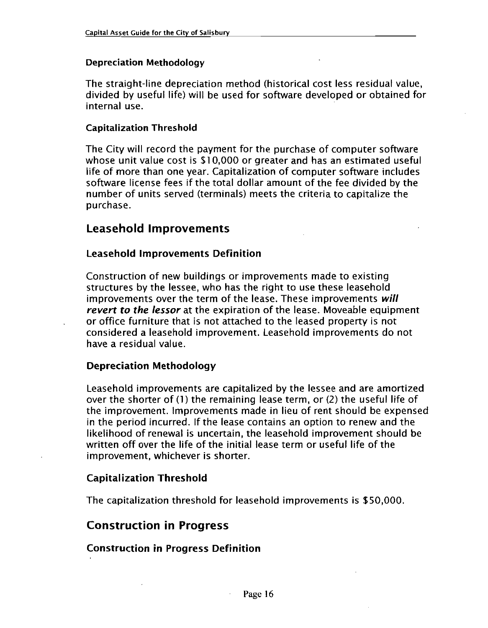### Depreciation Methodology

The straight-line depreciation method (historical cost less residual value, divided by useful life) will be used for software developed or obtained for internal use

### Capitalization Threshold

The City will record the payment for the purchase of computer software whose unit value cost is \$10,000 or greater and has an estimated useful life of more than one year. Capitalization of computer software includes software license fees if the total dollar amount of the fee divided by the number of units served (terminals) meets the criteria to capitalize the purchase

### Leasehold Improvements

### Leasehold Improvements Definition

Construction of new buildings or improvements made to existing structures by the lessee, who has the right to use these leasehold improvements over the term of the lease. These improvements will revert to the lessor at the expiration of the lease. Moveable equipment or office furniture that is not attached to the leased property is not considered a leasehold improvement. Leasehold improvements do not have a residual value

### Depreciation Methodology

Leasehold improvements are capitalized by the lessee and are amortized over the shorter of  $(1)$  the remaining lease term, or  $(2)$  the useful life of the improvement. Improvements made in lieu of rent should be expensed in the period incurred. If the lease contains an option to renew and the likelihood of renewal is uncertain, the leasehold improvement should be written off over the life of the initial lease term or useful life of the improvement, whichever is shorter.

### Capitalization Threshold

The capitalization threshold for leasehold improvements is \$50,000.

### Construction in Progress

### Construction in Progress Definition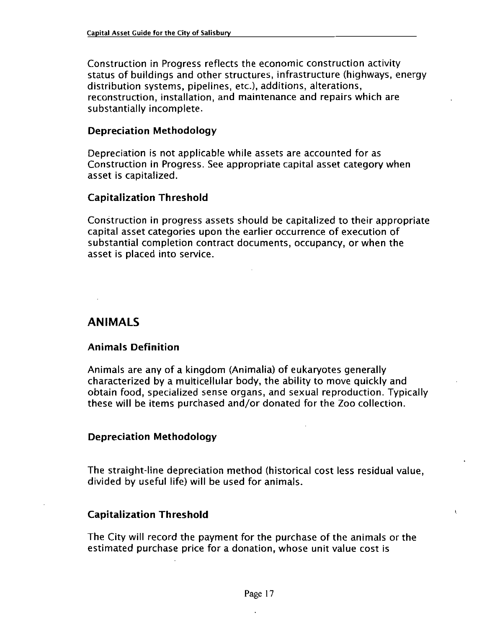Construction in Progress reflects the economic construction activity status of buildings and other structures, infrastructure (highways, energy distribution systems, pipelines, etc.), additions, alterations, reconstruction, installation, and maintenance and repairs which are substantially incomplete

### Depreciation Methodology

Depreciation is not applicable while assets are accounted for as Construction in Progress. See appropriate capital asset category when asset is capitalized

### Capitalization Threshold

Construction in progress assets should be capitalized to their appropriate capital asset categories upon the earlier occurrence of execution of substantial completion contract documents, occupancy, or when the asset is placed into service

### ANIMALS

### Animals Definition

Animals are any of a kingdom (Animalia) of eukaryotes generally characterized by a multicellular body, the ability to move quickly and obtain food, specialized sense organs, and sexual reproduction. Typically characterized by a multicellular body, the ability to move quickly and<br>obtain food, specialized sense organs, and sexual reproduction. Typ<br>these will be items purchased and/or donated for the Zoo collection.

### Depreciation Methodology

The straight-line depreciation method (historical cost less residual value. divided by useful life) will be used for animals.

### Capitalization Threshold

The City will record the payment for the purchase of the animals or the estimated purchase price for a donation, whose unit value cost is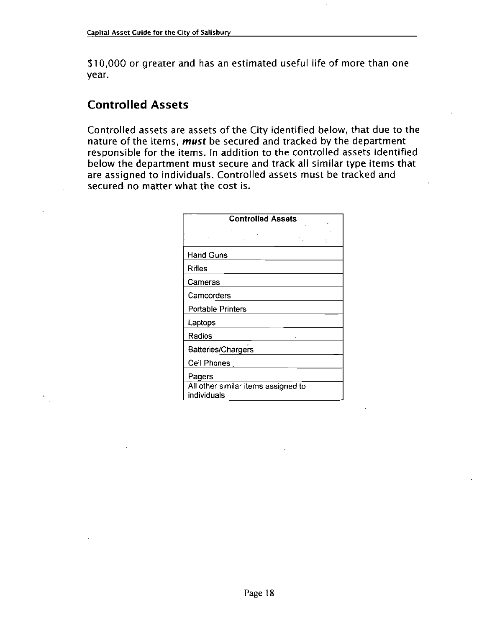\$10,000 or greater and has an estimated useful life of more than one year

## Controlled Assets

Controlled assets are assets of the City identified below, that due to the nature of the items, *must* be secured and tracked by the department responsible for the items. In addition to the controlled assets identified below the department must secure and track all similar type items that are assigned to individuals. Controlled assets must be tracked and secured no matter what the cost is

| <b>Controlled Assets</b>            |  |  |
|-------------------------------------|--|--|
|                                     |  |  |
|                                     |  |  |
| <b>Hand Guns</b>                    |  |  |
| <b>Rifles</b>                       |  |  |
| Cameras                             |  |  |
| Camcorders                          |  |  |
| <b>Portable Printers</b>            |  |  |
| Laptops                             |  |  |
| Radios                              |  |  |
| Batteries/Chargers                  |  |  |
| Cell Phones                         |  |  |
| Pagers                              |  |  |
| All other similar items assigned to |  |  |
| individuals                         |  |  |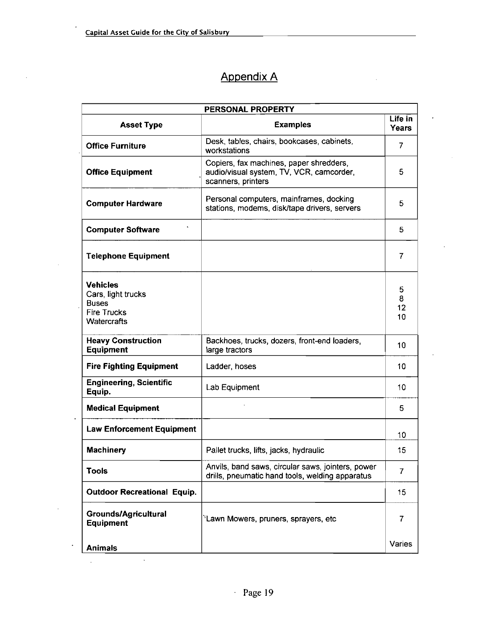$\bar{\beta}$ 

 $\hat{\mathcal{A}}$ 

# Appendix A

| PERSONAL PROPERTY                                                                                 |                                                                                                           |                    |  |
|---------------------------------------------------------------------------------------------------|-----------------------------------------------------------------------------------------------------------|--------------------|--|
| <b>Asset Type</b>                                                                                 | <b>Examples</b>                                                                                           | Life in<br>Years   |  |
| <b>Office Furniture</b>                                                                           | Desk, tables, chairs, bookcases, cabinets,<br>workstations                                                | 7                  |  |
| <b>Office Equipment</b>                                                                           | Copiers, fax machines, paper shredders,<br>audio/visual system, TV, VCR, camcorder,<br>scanners, printers | 5                  |  |
| <b>Computer Hardware</b>                                                                          | Personal computers, mainframes, docking<br>stations, modems, disk/tape drivers, servers                   | 5                  |  |
| <b>Computer Software</b>                                                                          |                                                                                                           | 5                  |  |
| <b>Telephone Equipment</b>                                                                        |                                                                                                           | 7                  |  |
| <b>Vehicles</b><br>Cars, light trucks<br><b>Buses</b><br><b>Fire Trucks</b><br><b>Watercrafts</b> |                                                                                                           | 5<br>8<br>12<br>10 |  |
| <b>Heavy Construction</b><br><b>Equipment</b>                                                     | Backhoes, trucks, dozers, front-end loaders,<br>large tractors                                            | 10                 |  |
| <b>Fire Fighting Equipment</b>                                                                    | Ladder, hoses                                                                                             | 10                 |  |
| <b>Engineering, Scientific</b><br>Equip.                                                          | Lab Equipment                                                                                             | 10                 |  |
| <b>Medical Equipment</b>                                                                          |                                                                                                           | 5                  |  |
| <b>Law Enforcement Equipment</b>                                                                  |                                                                                                           | 10                 |  |
| <b>Machinery</b>                                                                                  | Pallet trucks, lifts, jacks, hydraulic                                                                    | 15                 |  |
| <b>Tools</b>                                                                                      | Anvils, band saws, circular saws, jointers, power<br>drills, pneumatic hand tools, welding apparatus      | $\overline{7}$     |  |
| <b>Outdoor Recreational Equip.</b>                                                                |                                                                                                           | 15                 |  |
| Grounds/Agricultural<br><b>Equipment</b>                                                          | 'Lawn Mowers, pruners, sprayers, etc                                                                      | 7                  |  |
| <b>Animals</b>                                                                                    |                                                                                                           | Varies             |  |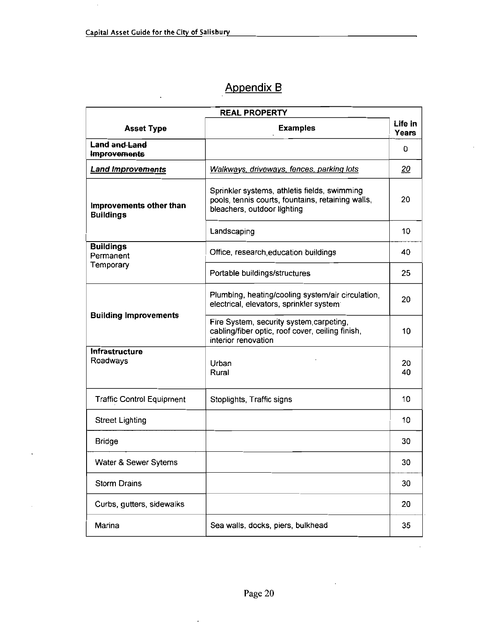# Appendix B

| <b>REAL PROPERTY</b>                        |                                                                                                                                  |                  |  |
|---------------------------------------------|----------------------------------------------------------------------------------------------------------------------------------|------------------|--|
| <b>Asset Type</b>                           | <b>Examples</b>                                                                                                                  | Life in<br>Years |  |
| <b>Land and Land</b><br><b>Improvements</b> |                                                                                                                                  | 0                |  |
| <b>Land Improvements</b>                    | Walkways, driveways, fences, parking lots                                                                                        | 20               |  |
| Improvements other than<br><b>Buildings</b> | Sprinkler systems, athletis fields, swimming<br>pools, tennis courts, fountains, retaining walls,<br>bleachers, outdoor lighting | 20               |  |
|                                             | Landscaping                                                                                                                      | 10               |  |
| <b>Buildings</b><br>Permanent               | Office, research, education buildings                                                                                            | 40               |  |
| Temporary                                   | Portable buildings/structures                                                                                                    | 25               |  |
| <b>Building Improvements</b>                | Plumbing, heating/cooling system/air circulation,<br>electrical, elevators, sprinkler system                                     | 20               |  |
|                                             | Fire System, security system carpeting,<br>cabling/fiber optic, roof cover, ceiling finish,<br>interior renovation               | 10               |  |
| <b>Infrastructure</b><br>Roadways           | Urban<br>Rural                                                                                                                   | 20<br>40         |  |
| <b>Traffic Control Equipment</b>            | Stoplights, Traffic signs                                                                                                        | 10               |  |
| <b>Street Lighting</b>                      |                                                                                                                                  | 10               |  |
| <b>Bridge</b>                               |                                                                                                                                  | 30               |  |
| Water & Sewer Sytems                        |                                                                                                                                  | 30               |  |
| <b>Storm Drains</b>                         |                                                                                                                                  | 30               |  |
| Curbs, gutters, sidewalks                   |                                                                                                                                  | 20               |  |
| Marina                                      | Sea walls, docks, piers, bulkhead                                                                                                | 35               |  |